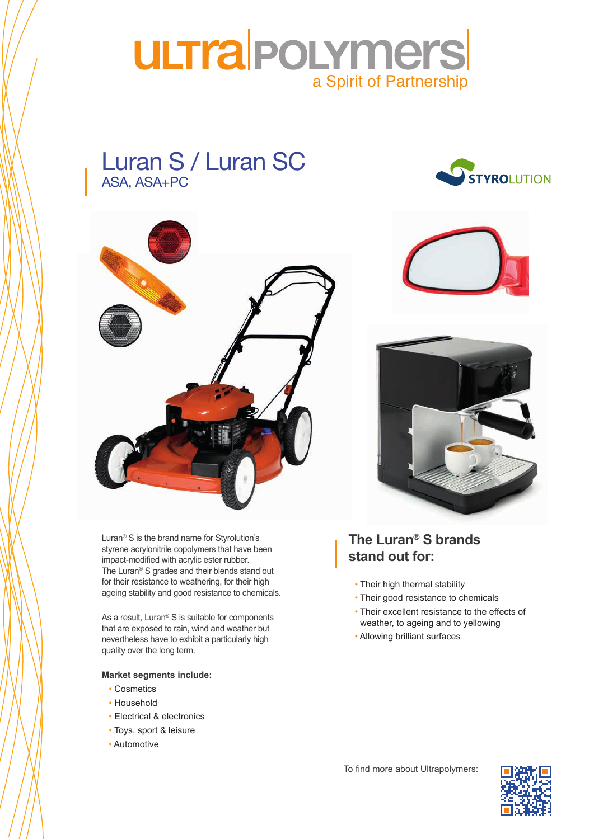

## Luran S / Luran SC ASA, ASA+PC





ageing stability and good resistance to chemicals. Luran® S is the brand name for Styrolution's styrene acrylonitrile copolymers that have been impact-modified with acrylic ester rubber. The Luran® S grades and their blends stand out for their resistance to weathering, for their high

As a result, Lurari<sup>-</sup> 5 is suitable for components<br>that are exposed to rain, wind and weather but nevertheless have to exhibit a particularly high quality over the long term. As a result, Luran® S is suitable for components

#### **Market segments include:**

- conditions in the matrix in the matrix  $\alpha$ • Cosmetics
- mangement • Household
- Electrical & electronics
- Toys, sport & leisure
- Automotive





### **The Luran® S brands stand out for:**

- Their high thermal stability
- Their good resistance to chemicals
- Their excellent resistance to the effects of weather, to ageing and to yellowing
- Allowing brilliant surfaces



To find more about Ultrapolymers:  $\Box$